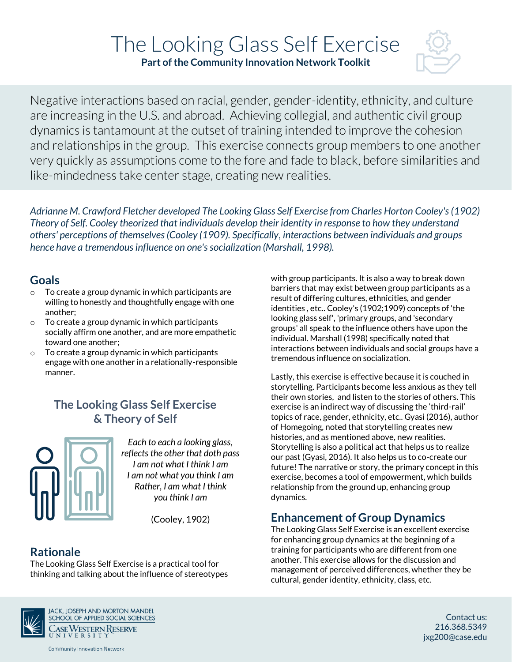# The Looking Glass Self Exercise

**Part of the Community Innovation Network Toolkit**



Negative interactions based on racial, gender, gender-identity, ethnicity, and culture are increasing in the U.S. and abroad. Achieving collegial, and authentic civil group dynamics is tantamount at the outset of training intended to improve the cohesion and relationships in the group. This exercise connects group members to one another very quickly as assumptions come to the fore and fade to black, before similarities and like-mindedness take center stage, creating new realities.

*Adrianne M. Crawford Fletcher developed The Looking Glass Self Exercise from Charles Horton Cooley's (1902) Theory of Self. Cooley theorized that individuals develop their identity in response to how they understand others' perceptions of themselves (Cooley (1909). Specifically, interactions between individuals and groups hence have a tremendous influence on one's socialization (Marshall, 1998).*

## **Goals**

- o To create a group dynamic in which participants are willing to honestly and thoughtfully engage with one another;
- $\circ$  To create a group dynamic in which participants socially affirm one another, and are more empathetic toward one another;
- $\circ$  To create a group dynamic in which participants engage with one another in a relationally-responsible manner.

# **The Looking Glass Self Exercise & Theory of Self**



*Each to each a looking glass, reflects the other that doth pass I am not what I think I am I am not what you think I am Rather, I am what I think you think I am*

(Cooley, 1902)

## **Rationale**

The Looking Glass Self Exercise is a practical tool for thinking and talking about the influence of stereotypes



**JACK, JOSEPH AND MORTON MANDEL** SCHOOL OF APPLIED SOCIAL SCIENCES CASEWESTERN RESERVE

**Community Innovation Network** 

with group participants. It is also a way to break down barriers that may exist between group participants as a result of differing cultures, ethnicities, and gender identities , etc.. Cooley's (1902;1909) concepts of 'the looking glass self', 'primary groups, and 'secondary groups' all speak to the influence others have upon the individual. Marshall (1998) specifically noted that interactions between individuals and social groups have a tremendous influence on socialization.

Lastly, this exercise is effective because it is couched in storytelling. Participants become less anxious as they tell their own stories, and listen to the stories of others. This exercise is an indirect way of discussing the 'third-rail' topics of race, gender, ethnicity, etc.. Gyasi (2016), author of Homegoing, noted that storytelling creates new histories, and as mentioned above, new realities. Storytelling is also a political act that helps us to realize our past (Gyasi, 2016). It also helps us to co-create our future! The narrative or story, the primary concept in this exercise, becomes a tool of empowerment, which builds relationship from the ground up, enhancing group dynamics.

# **Enhancement of Group Dynamics**

The Looking Glass Self Exercise is an excellent exercise for enhancing group dynamics at the beginning of a training for participants who are different from one another. This exercise allows for the discussion and management of perceived differences, whether they be cultural, gender identity, ethnicity, class, etc.

> Contact us: 216.368.5349 jxg200@case.edu